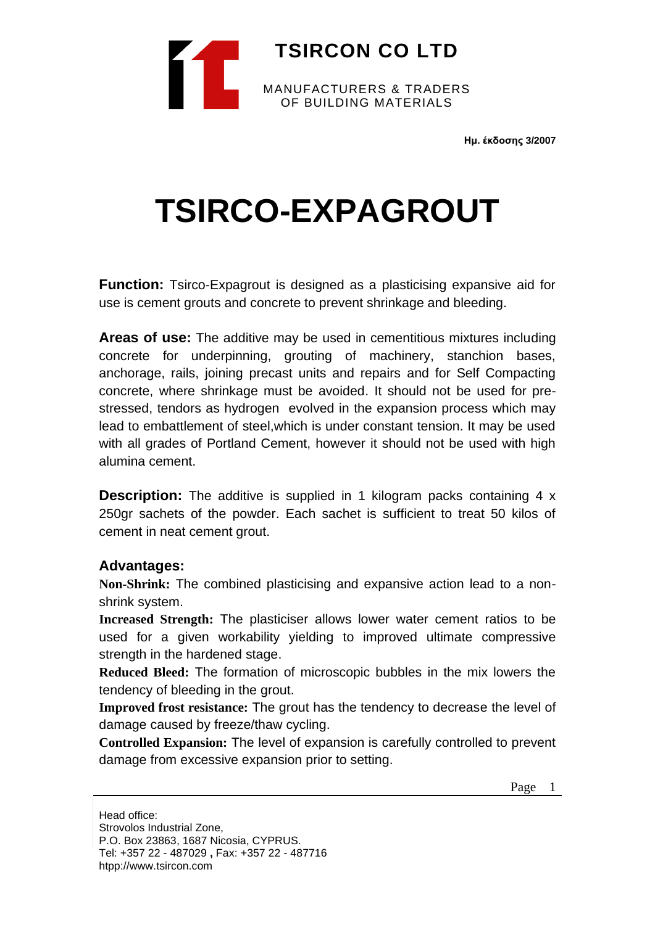

**Ημ. έκδοσης 3/2007**

## **TSIRCO-EXPAGROUT**

**Function:** Tsirco-Expagrout is designed as a plasticising expansive aid for use is cement grouts and concrete to prevent shrinkage and bleeding.

**Areas of use:** The additive may be used in cementitious mixtures including concrete for underpinning, grouting of machinery, stanchion bases, anchorage, rails, joining precast units and repairs and for Self Compacting concrete, where shrinkage must be avoided. It should not be used for prestressed, tendors as hydrogen evolved in the expansion process which may lead to embattlement of steel,which is under constant tension. It may be used with all grades of Portland Cement, however it should not be used with high alumina cement.

**Description:** The additive is supplied in 1 kilogram packs containing 4 x 250gr sachets of the powder. Each sachet is sufficient to treat 50 kilos of cement in neat cement grout.

## **Advantages:**

**Non-Shrink:** The combined plasticising and expansive action lead to a nonshrink system.

**Increased Strength:** The plasticiser allows lower water cement ratios to be used for a given workability yielding to improved ultimate compressive strength in the hardened stage.

**Reduced Bleed:** The formation of microscopic bubbles in the mix lowers the tendency of bleeding in the grout.

**Improved frost resistance:** The grout has the tendency to decrease the level of damage caused by freeze/thaw cycling.

**Controlled Expansion:** The level of expansion is carefully controlled to prevent damage from excessive expansion prior to setting.

Page 1